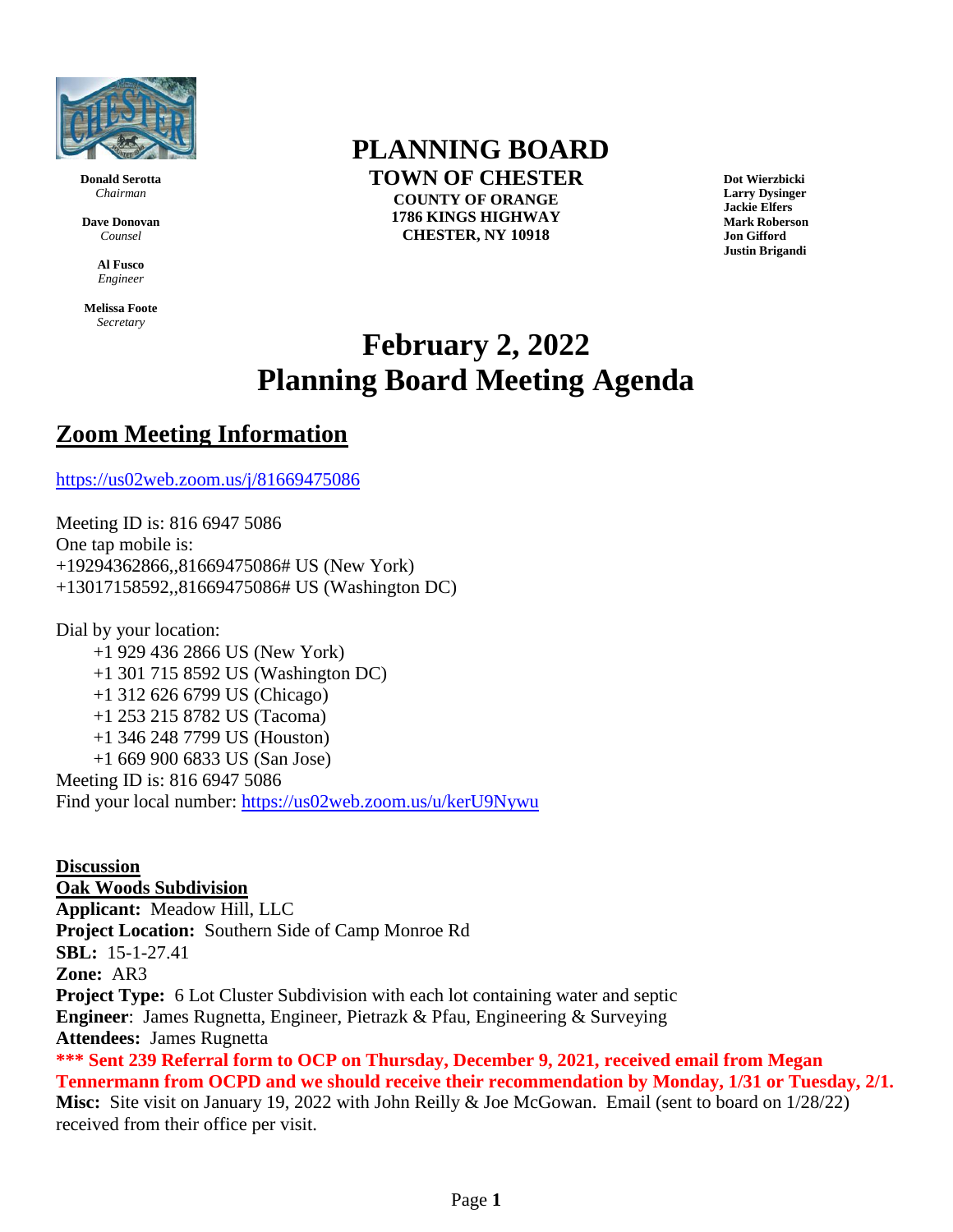

**Donald Serotta** *Chairman*

**Dave Donovan** *Counsel*

> **Al Fusco** *Engineer*

**Melissa Foote** *Secretary*

## **PLANNING BOARD**

**TOWN OF CHESTER COUNTY OF ORANGE 1786 KINGS HIGHWAY CHESTER, NY 10918**

**Dot Wierzbicki Larry Dysinger Jackie Elfers Mark Roberson Jon Gifford Justin Brigandi**

## **February 2, 2022 Planning Board Meeting Agenda**

## **Zoom Meeting Information**

<https://us02web.zoom.us/j/81669475086>

Meeting ID is: 816 6947 5086 One tap mobile is: +19294362866,,81669475086# US (New York) +13017158592,,81669475086# US (Washington DC)

Dial by your location: +1 929 436 2866 US (New York) +1 301 715 8592 US (Washington DC) +1 312 626 6799 US (Chicago) +1 253 215 8782 US (Tacoma) +1 346 248 7799 US (Houston) +1 669 900 6833 US (San Jose) Meeting ID is: 816 6947 5086 Find your local number:<https://us02web.zoom.us/u/kerU9Nywu>

**Discussion Oak Woods Subdivision Applicant:** Meadow Hill, LLC **Project Location:** Southern Side of Camp Monroe Rd **SBL:** 15-1-27.41 **Zone:** AR3 **Project Type:** 6 Lot Cluster Subdivision with each lot containing water and septic **Engineer**: James Rugnetta, Engineer, Pietrazk & Pfau, Engineering & Surveying **Attendees:** James Rugnetta **\*\*\* Sent 239 Referral form to OCP on Thursday, December 9, 2021, received email from Megan Tennermann from OCPD and we should receive their recommendation by Monday, 1/31 or Tuesday, 2/1. Misc:** Site visit on January 19, 2022 with John Reilly & Joe McGowan. Email (sent to board on 1/28/22) received from their office per visit.